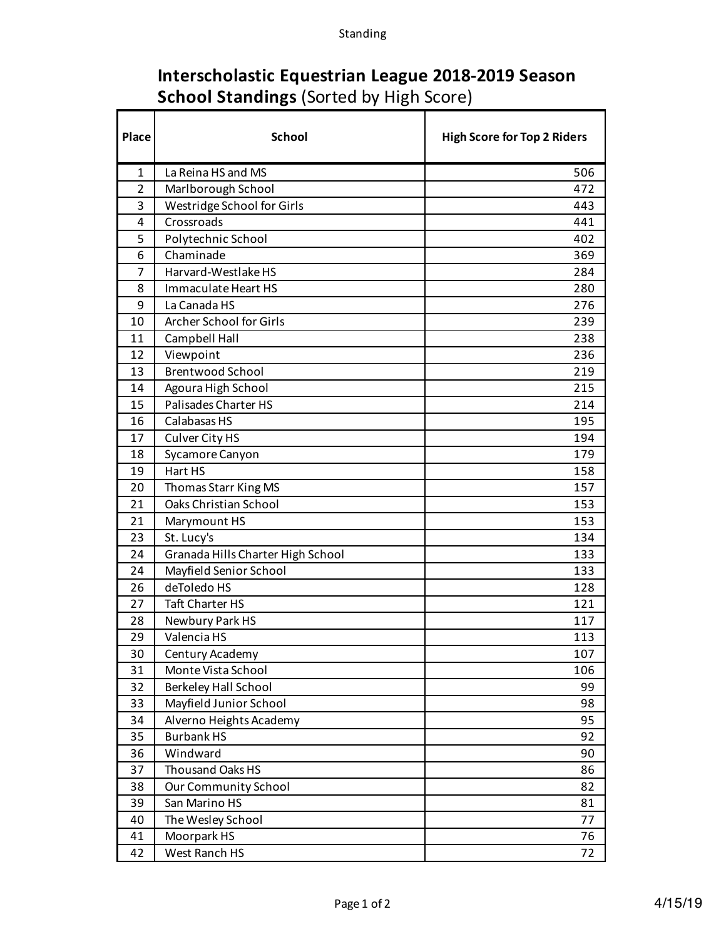## **Interscholastic Equestrian League 2018-2019 Season School Standings** (Sorted by High Score)

| Place          | <b>School</b>                     | <b>High Score for Top 2 Riders</b> |
|----------------|-----------------------------------|------------------------------------|
| 1              | La Reina HS and MS                | 506                                |
| $\overline{2}$ | Marlborough School                | 472                                |
| 3              | Westridge School for Girls        | 443                                |
| 4              | Crossroads                        | 441                                |
| 5              | Polytechnic School                | 402                                |
| 6              | Chaminade                         | 369                                |
| 7              | Harvard-Westlake HS               | 284                                |
| 8              | Immaculate Heart HS               | 280                                |
| 9              | La Canada HS                      | 276                                |
| 10             | Archer School for Girls           | 239                                |
| 11             | Campbell Hall                     | 238                                |
| 12             | Viewpoint                         | 236                                |
| 13             | <b>Brentwood School</b>           | 219                                |
| 14             | Agoura High School                | 215                                |
| 15             | Palisades Charter HS              | 214                                |
| 16             | Calabasas HS                      | 195                                |
| 17             | Culver City HS                    | 194                                |
| 18             | Sycamore Canyon                   | 179                                |
| 19             | Hart HS                           | 158                                |
| 20             | Thomas Starr King MS              | 157                                |
| 21             | Oaks Christian School             | 153                                |
| 21             | Marymount HS                      | 153                                |
| 23             | St. Lucy's                        | 134                                |
| 24             | Granada Hills Charter High School | 133                                |
| 24             | Mayfield Senior School            | 133                                |
| 26             | deToledo HS                       | 128                                |
| 27             | <b>Taft Charter HS</b>            | 121                                |
| 28             | Newbury Park HS                   | 117                                |
| 29             | Valencia HS                       | 113                                |
| 30             | Century Academy                   | 107                                |
| 31             | Monte Vista School                | 106                                |
| 32             | <b>Berkeley Hall School</b>       | 99                                 |
| 33             | Mayfield Junior School            | 98                                 |
| 34             | Alverno Heights Academy           | 95                                 |
| 35             | <b>Burbank HS</b>                 | 92                                 |
| 36             | Windward                          | 90                                 |
| 37             | Thousand Oaks HS                  | 86                                 |
| 38             | Our Community School              | 82                                 |
| 39             | San Marino HS                     | 81                                 |
| 40             | The Wesley School                 | 77                                 |
| 41             | Moorpark HS                       | 76                                 |
| 42             | West Ranch HS                     | 72                                 |